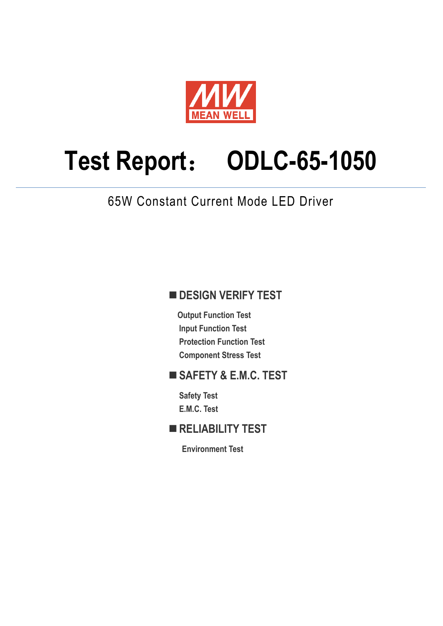

# **Test Report**: **ODLC-65-1050**

65W Constant Current Mode LED Driver

# **DESIGN VERIFY TEST**

**Output Function Test Input Function Test Protection Function Test Component Stress Test** 

# **SAFETY & E.M.C. TEST**

**Safety Test E.M.C. Test** 

# **RELIABILITY TEST**

**Environment Test**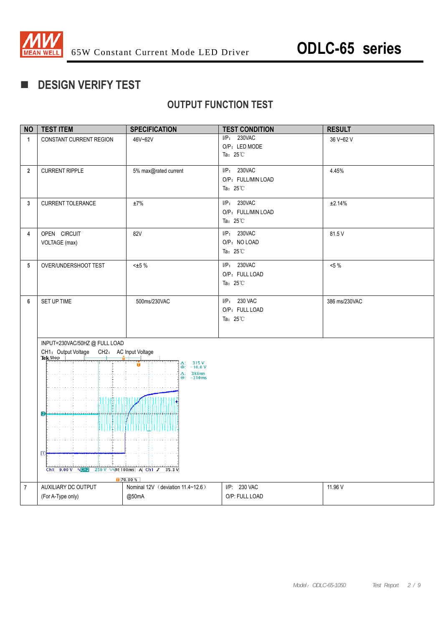

# **DESIGN VERIFY TEST**

# **OUTPUT FUNCTION TEST**

| <b>NO</b>      | <b>TEST ITEM</b>                                                                                                                                                                             | <b>SPECIFICATION</b>                                                                     | <b>TEST CONDITION</b>                                   | <b>RESULT</b> |
|----------------|----------------------------------------------------------------------------------------------------------------------------------------------------------------------------------------------|------------------------------------------------------------------------------------------|---------------------------------------------------------|---------------|
| $\mathbf{1}$   | CONSTANT CURRENT REGION                                                                                                                                                                      | 46V~62V                                                                                  | I/P: 230VAC<br>O/P: LED MODE<br>Ta: $25^{\circ}$ C      | 36 V~62 V     |
| $\overline{2}$ | <b>CURRENT RIPPLE</b>                                                                                                                                                                        | 5% max@rated current                                                                     | I/P: 230VAC<br>O/P: FULL/MIN LOAD<br>Ta: $25^{\circ}$ C | 4.45%         |
| $\mathbf{3}$   | <b>CURRENT TOLERANCE</b>                                                                                                                                                                     | ±7%                                                                                      | I/P: 230VAC<br>O/P: FULL/MIN LOAD<br>Ta: $25^{\circ}$ C | ±2.14%        |
| $\overline{4}$ | OPEN CIRCUIT<br>VOLTAGE (max)                                                                                                                                                                | 82V                                                                                      | I/P: 230VAC<br>O/P: NO LOAD<br>Ta: $25^{\circ}$ C       | 81.5 V        |
| 5              | OVER/UNDERSHOOT TEST                                                                                                                                                                         | $\pm 5\%$                                                                                | I/P: 230VAC<br>O/P: FULL LOAD<br>Ta: $25^{\circ}$ C     | $<5\%$        |
| $6\phantom{1}$ | SET UP TIME                                                                                                                                                                                  | 500ms/230VAC                                                                             | I/P: 230 VAC<br>O/P: FULL LOAD<br>Ta: $25^{\circ}$ C    | 386 ms/230VAC |
|                | INPUT=230VAC/50HZ@FULLLOAD<br>CH1: Output Voltage CH2: AC Input Voltage<br>Tek Stop<br>1110111<br>2<br>THUU<br>$\mathbb{D}$<br>Ch1 9.00 V $\sqrt{c}$ 250 V $\sqrt{N}$ 100ms A Ch1 $J$ 35.3 V | $\Delta$ : 315 V<br>$\circledcirc$ : -10.0 V<br>$\Delta: 386ms$<br>$@: -310ms$<br>70.00% |                                                         |               |
| $\overline{7}$ | AUXILIARY DC OUTPUT<br>(For A-Type only)                                                                                                                                                     | Nominal 12V (deviation 11.4~12.6)<br>@50mA                                               | I/P: 230 VAC<br>O/P: FULL LOAD                          | 11.96 V       |
|                |                                                                                                                                                                                              |                                                                                          |                                                         |               |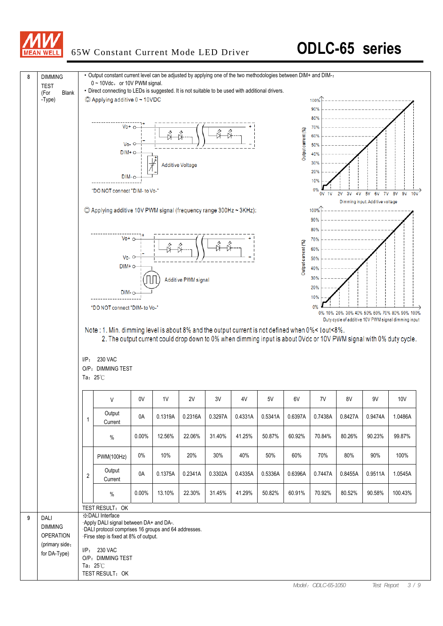

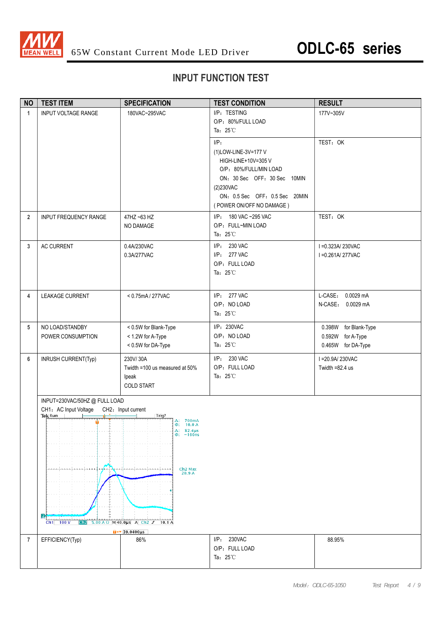

### **INPUT FUNCTION TEST**

| <b>NO</b>      | <b>TEST ITEM</b>                                                                                                | <b>SPECIFICATION</b>                                                                                                                                                                                   | <b>TEST CONDITION</b>                                                                                                                                                                       | <b>RESULT</b>                                                    |
|----------------|-----------------------------------------------------------------------------------------------------------------|--------------------------------------------------------------------------------------------------------------------------------------------------------------------------------------------------------|---------------------------------------------------------------------------------------------------------------------------------------------------------------------------------------------|------------------------------------------------------------------|
| $\mathbf{1}$   | <b>INPUT VOLTAGE RANGE</b>                                                                                      | 180VAC~295VAC                                                                                                                                                                                          | I/P: TESTING<br>O/P: 80%/FULL LOAD<br>Ta: $25^{\circ}$ C                                                                                                                                    | 177V~305V                                                        |
|                |                                                                                                                 |                                                                                                                                                                                                        | $I/P$ :<br>(1)LOW-LINE-3V=177 V<br>HIGH-LINE+10V=305 V<br>O/P: 80%/FULL/MIN LOAD<br>ON: 30 Sec OFF: 30 Sec 10MIN<br>(2)230VAC<br>ON: 0.5 Sec OFF: 0.5 Sec 20MIN<br>(POWER ON/OFF NO DAMAGE) | TEST: OK                                                         |
| $\overline{2}$ | INPUT FREQUENCY RANGE                                                                                           | 47HZ ~63 HZ<br>NO DAMAGE                                                                                                                                                                               | I/P: 180 VAC ~295 VAC<br>O/P: FULL~MIN LOAD<br>Ta: $25^{\circ}$ C                                                                                                                           | TEST: OK                                                         |
| 3              | <b>AC CURRENT</b>                                                                                               | 0.4A/230VAC<br>0.3A/277VAC                                                                                                                                                                             | I/P: 230 VAC<br>I/P: 277 VAC<br>O/P: FULL LOAD<br>Ta: $25^{\circ}$ C                                                                                                                        | I = 0.323A/230VAC<br>I = 0.261A/277VAC                           |
| 4              | LEAKAGE CURRENT                                                                                                 | < 0.75mA / 277VAC                                                                                                                                                                                      | I/P: 277 VAC<br>O/P: NO LOAD<br>Ta: $25^{\circ}$ C                                                                                                                                          | L-CASE: 0.0029 mA<br>N-CASE: 0.0029 mA                           |
| 5              | NO LOAD/STANDBY<br>POWER CONSUMPTION                                                                            | < 0.5W for Blank-Type<br>< 1.2W for A-Type<br>< 0.5W for DA-Type                                                                                                                                       | I/P: 230VAC<br>O/P: NO LOAD<br>Ta: $25^{\circ}$ C                                                                                                                                           | 0.398W for Blank-Type<br>0.592W for A-Type<br>0.465W for DA-Type |
| 6              | INRUSH CURRENT(Typ)                                                                                             | 230V/30A<br>Twidth =100 us measured at 50%<br>lpeak<br><b>COLD START</b>                                                                                                                               | I/P: 230 VAC<br>O/P: FULL LOAD<br>Ta: $25^{\circ}$ C                                                                                                                                        | I = 20.9A/230VAC<br>Twidth $=82.4$ us                            |
|                | INPUT=230VAC/50HZ @ FULL LOAD<br>CH1: AC Input Voltage CH2: Input current<br>Tek Run<br>D<br>$Ch1$ 100 V<br>Ch2 | Trig?<br>$\Delta$ : 700mA<br>@: 10.0 A<br>$\Delta$ : 82.4 $\mu$ s<br>$@: -160$ ns<br>Ch <sub>2</sub> Max<br>20.9A<br>$5.00 A \Omega$ M 40.0us A Ch2 $J$ 10.1 A<br>$\sqrt{39.0400 \text{ }\mu\text{s}}$ |                                                                                                                                                                                             |                                                                  |
| 7              | EFFICIENCY(Typ)                                                                                                 | 86%                                                                                                                                                                                                    | I/P: 230VAC<br>O/P: FULL LOAD<br>Ta: $25^{\circ}$ C                                                                                                                                         | 88.95%                                                           |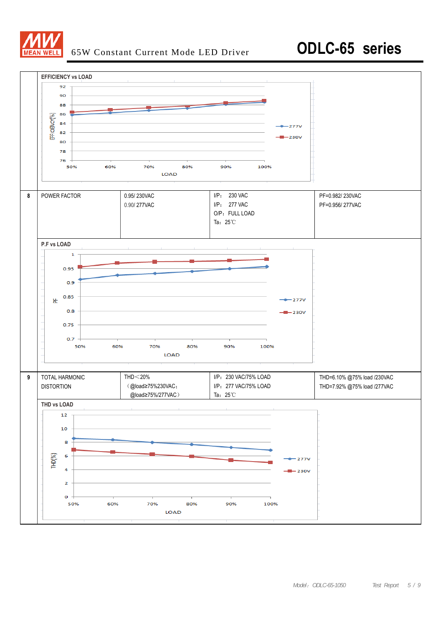

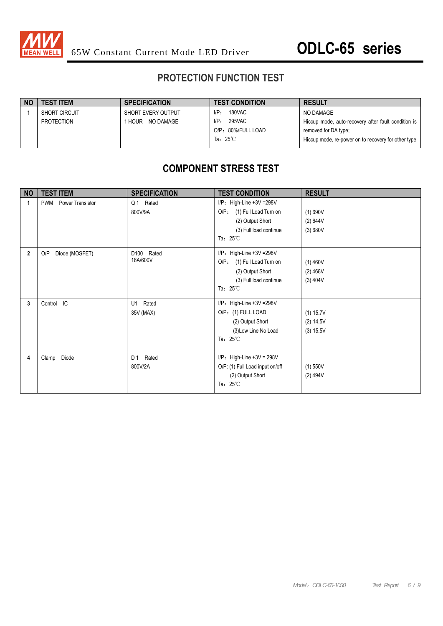

### **PROTECTION FUNCTION TEST**

| <b>NO</b> | <b>TEST ITEM</b>     | <b>SPECIFICATION</b> | <b>TEST CONDITION</b> | <b>RESULT</b>                                       |
|-----------|----------------------|----------------------|-----------------------|-----------------------------------------------------|
|           | <b>SHORT CIRCUIT</b> | SHORT EVERY OUTPUT   | 180VAC<br>$I/P$ :     | NO DAMAGE                                           |
|           | PROTECTION           | 1 HOUR NO DAMAGE     | 295VAC<br>I/P:        | Hiccup mode, auto-recovery after fault condition is |
|           |                      |                      | O/P: 80%/FULL LOAD    | removed for DA type;                                |
|           |                      |                      | Ta: $25^{\circ}$ C    | Hiccup mode, re-power on to recovery for other type |
|           |                      |                      |                       |                                                     |

### **COMPONENT STRESS TEST**

| <b>NO</b>   | <b>TEST ITEM</b>                      | <b>SPECIFICATION</b>      | <b>TEST CONDITION</b>                                                                                                                     | <b>RESULT</b>                         |
|-------------|---------------------------------------|---------------------------|-------------------------------------------------------------------------------------------------------------------------------------------|---------------------------------------|
| 1           | <b>Power Transistor</b><br><b>PWM</b> | Q1 Rated<br>800V/9A       | I/P: High-Line +3V =298V<br>O/P <sub>z</sub><br>(1) Full Load Turn on<br>(2) Output Short<br>(3) Full load continue<br>Ta: $25^{\circ}$ C | (1) 690V<br>(2) 644V<br>(3) 680V      |
| $\mathbf 2$ | O/P<br>Diode (MOSFET)                 | D100<br>Rated<br>16A/600V | $I/P$ : High-Line +3V = 298V<br>$O/P$ :<br>(1) Full Load Turn on<br>(2) Output Short<br>(3) Full load continue<br>Ta: $25^{\circ}$ C      | $(1)$ 460V<br>$(2)$ 468V<br>(3) 404V  |
| 3           | Control IC                            | Rated<br>U1<br>35V (MAX)  | $I/P$ : High-Line +3V = 298V<br>O/P: (1) FULL LOAD<br>(2) Output Short<br>(3) Low Line No Load<br>Ta: $25^{\circ}$ C                      | (1) 15.7V<br>(2) 14.5V<br>$(3)$ 15.5V |
| 4           | Diode<br>Clamp                        | Rated<br>D 1<br>800V/2A   | $I/P$ : High-Line +3V = 298V<br>O/P: (1) Full Load input on/off<br>(2) Output Short<br>Ta: $25^{\circ}$ C                                 | $(1)$ 550V<br>(2) 494V                |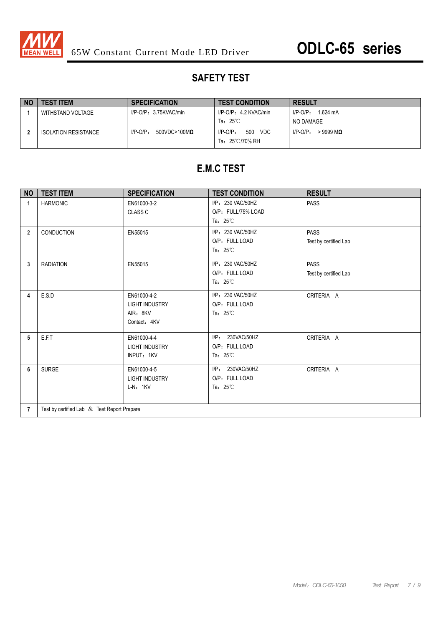

### **SAFETY TEST**

| <b>NO</b> | <b>TEST ITEM</b>            | <b>SPECIFICATION</b>                   | <b>TEST CONDITION</b>                                  | <b>RESULT</b>                     |
|-----------|-----------------------------|----------------------------------------|--------------------------------------------------------|-----------------------------------|
|           | WITHSTAND VOLTAGE           | $I/P-O/P: 3.75KVAC/min$                | I/P-O/P: 4.2 KVAC/min                                  | $1.624 \text{ mA}$<br>$I/P$ -O/P: |
|           |                             |                                        | Ta: $25^{\circ}$ C                                     | NO DAMAGE                         |
|           | <b>ISOLATION RESISTANCE</b> | $I/P-O/P$ :<br>$500$ VDC>100M $\Omega$ | 500<br>VDC<br>$I/P-O/P$ :<br>Ta: $25^{\circ}$ C/70% RH | $I/P$ - $O/P$ .<br>$>9999$ MQ     |

# **E.M.C TEST**

| <b>NO</b>      | <b>TEST ITEM</b>                            | <b>SPECIFICATION</b>                                             | <b>TEST CONDITION</b>                                          | <b>RESULT</b>                        |  |
|----------------|---------------------------------------------|------------------------------------------------------------------|----------------------------------------------------------------|--------------------------------------|--|
| 1              | <b>HARMONIC</b>                             | EN61000-3-2<br>CLASS C                                           | I/P: 230 VAC/50HZ<br>O/P: FULL/75% LOAD<br>Ta: $25^{\circ}$ C  | <b>PASS</b>                          |  |
| $\overline{2}$ | <b>CONDUCTION</b>                           | EN55015                                                          | I/P: 230 VAC/50HZ<br>O/P: FULL LOAD<br>Ta: $25^{\circ}$ C      | <b>PASS</b><br>Test by certified Lab |  |
| 3              | <b>RADIATION</b>                            | EN55015                                                          | I/P: 230 VAC/50HZ<br>O/P: FULL LOAD<br>Ta: $25^{\circ}$ C      | <b>PASS</b><br>Test by certified Lab |  |
| 4              | E.S.D                                       | EN61000-4-2<br><b>LIGHT INDUSTRY</b><br>AIR: 8KV<br>Contact: 4KV | I/P: 230 VAC/50HZ<br>O/P: FULL LOAD<br>Ta: $25^{\circ}$ C      | CRITERIA A                           |  |
| 5              | <b>E.F.T</b>                                | EN61000-4-4<br><b>LIGHT INDUSTRY</b><br>INPUT: 1KV               | I/P: 230VAC/50HZ<br>O/P: FULL LOAD<br>Ta: $25^{\circ}$ C       | CRITERIA A                           |  |
| 6              | <b>SURGE</b>                                | EN61000-4-5<br><b>LIGHT INDUSTRY</b><br>$L-N: 1KV$               | $I/P$ :<br>230VAC/50HZ<br>O/P: FULL LOAD<br>Ta: $25^{\circ}$ C | CRITERIA A                           |  |
| $\overline{7}$ | Test by certified Lab & Test Report Prepare |                                                                  |                                                                |                                      |  |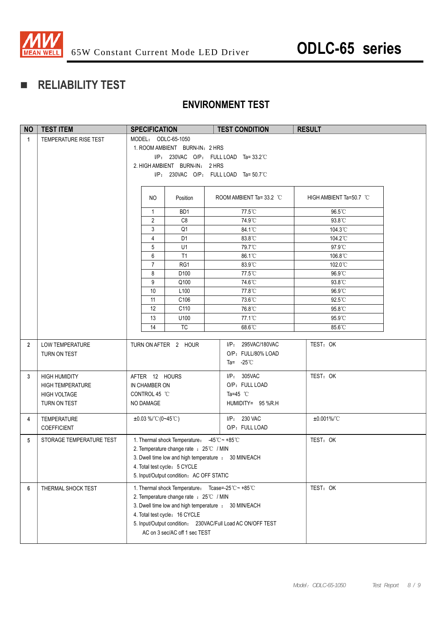

# **RELIABILITY TEST**

### **ENVIRONMENT TEST**

| <b>NO</b>      | <b>TEST ITEM</b>                                                                       | <b>SPECIFICATION</b>                                                                                                                                                                                                                                                              | <b>TEST CONDITION</b>                                                            | <b>RESULT</b>           |
|----------------|----------------------------------------------------------------------------------------|-----------------------------------------------------------------------------------------------------------------------------------------------------------------------------------------------------------------------------------------------------------------------------------|----------------------------------------------------------------------------------|-------------------------|
| $\mathbf{1}$   | TEMPERATURE RISE TEST                                                                  | MODEL: ODLC-65-1050<br>1. ROOM AMBIENT BURN-IN: 2 HRS<br>2. HIGH AMBIENT BURN-IN: 2 HRS                                                                                                                                                                                           | I/P: 230VAC O/P: FULL LOAD Ta=33.2°C<br>$I/P: 230VAC$ O/P: FULL LOAD Ta= 50.7 °C |                         |
|                |                                                                                        | NO<br>Position                                                                                                                                                                                                                                                                    | ROOM AMBIENT Ta= 33.2 °C                                                         | HIGH AMBIENT Ta=50.7 °C |
|                |                                                                                        | BD <sub>1</sub><br>1                                                                                                                                                                                                                                                              | 77.5°C                                                                           | 96.5°C                  |
|                |                                                                                        | $\overline{2}$<br>C <sub>8</sub>                                                                                                                                                                                                                                                  | 74.9°C                                                                           | 93.8°C                  |
|                |                                                                                        | $\mathfrak{Z}$<br>Q <sub>1</sub>                                                                                                                                                                                                                                                  | 84.1°C                                                                           | 104.3°C                 |
|                |                                                                                        | $\overline{4}$<br>D <sub>1</sub>                                                                                                                                                                                                                                                  | 83.8°C                                                                           | 104.2°C                 |
|                |                                                                                        | 5<br>U1                                                                                                                                                                                                                                                                           | 79.7°C                                                                           | 97.9°C                  |
|                |                                                                                        | 6<br>T1                                                                                                                                                                                                                                                                           | 86.1°C                                                                           | 106.8°C                 |
|                |                                                                                        | $\overline{7}$<br>RG1                                                                                                                                                                                                                                                             | 83.9°C<br>77.5°C                                                                 | 102.0°C                 |
|                |                                                                                        | 8<br>D100<br>9<br>Q100                                                                                                                                                                                                                                                            | 74.6°C                                                                           | 96.9°C<br>93.8°C        |
|                |                                                                                        | 10<br>L100                                                                                                                                                                                                                                                                        | 77.8°C                                                                           | 96.9°C                  |
|                |                                                                                        | C106<br>11                                                                                                                                                                                                                                                                        | 73.6°C                                                                           | 92.5°C                  |
|                |                                                                                        | 12<br>C110                                                                                                                                                                                                                                                                        | 76.8°C                                                                           | 95.8°C                  |
|                |                                                                                        | 13<br>U100                                                                                                                                                                                                                                                                        | 77.1°C                                                                           | 95.9°C                  |
|                |                                                                                        | 14<br><b>TC</b>                                                                                                                                                                                                                                                                   | 68.6°C                                                                           | 85.6°C                  |
| $\overline{2}$ | LOW TEMPERATURE<br>TURN ON TEST                                                        | TURN ON AFTER 2 HOUR                                                                                                                                                                                                                                                              | I/P: 295VAC/180VAC<br>O/P: FULL/80% LOAD<br>Ta= $-25^{\circ}$ C                  | TEST: OK                |
| 3              | <b>HIGH HUMIDITY</b><br><b>HIGH TEMPERATURE</b><br><b>HIGH VOLTAGE</b><br>TURN ON TEST | AFTER 12 HOURS<br>IN CHAMBER ON<br>CONTROL 45 °C<br>NO DAMAGE                                                                                                                                                                                                                     | I/P: 305VAC<br>O/P: FULL LOAD<br>Ta=45 $^{\circ}$ C<br>HUMIDITY= 95 %R.H         | TEST: OK                |
| 4              | <b>TEMPERATURE</b><br><b>COEFFICIENT</b>                                               | $\pm 0.03\%$ / °C (0~45 °C)                                                                                                                                                                                                                                                       | I/P: 230 VAC<br>O/P: FULL LOAD                                                   | $±0.001\%$ /°C          |
| 5              | STORAGE TEMPERATURE TEST                                                               | 1. Thermal shock Temperature: -45°C ~ +85°C<br>2. Temperature change rate : 25°C / MIN<br>3. Dwell time low and high temperature : 30 MIN/EACH<br>4. Total test cycle: 5 CYCLE<br>5. Input/Output condition: AC OFF STATIC                                                        |                                                                                  | TEST: OK                |
| 6              | THERMAL SHOCK TEST                                                                     | 1. Thermal shock Temperature: Tcase=-25°C~+85°C<br>2. Temperature change rate : 25℃ / MIN<br>3. Dwell time low and high temperature : 30 MIN/EACH<br>4. Total test cycle: 16 CYCLE<br>5. Input/Output condition: 230VAC/Full Load AC ON/OFF TEST<br>AC on 3 sec/AC off 1 sec TEST |                                                                                  | TEST: OK                |